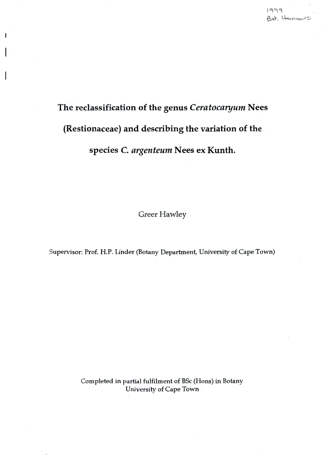# The reclassification of the genus *Ceratocaryum* Nees (Restionaceae) and describing the variation of the species C. argenteum Nees ex Kunth.

Greer Hawley

Greer Hawley<br>
of. H.P. Linder (Botany Department, University of C Supervisor: Prof. H.P. Linder (Botany Department, University of Cape Town)

> Completed in partial fulfilment of BSc (Hons) in Botany University of Cape Town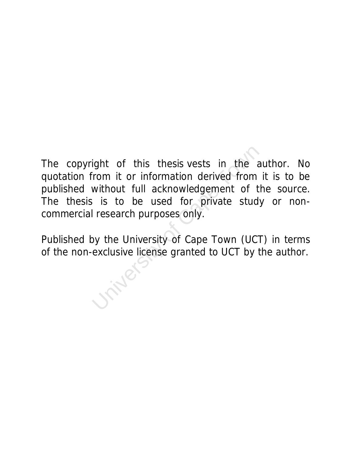New York is the sistends in the all from it or information derived from without full acknowledgement of the site of the used for private study research purposes only.<br>University of Cape Town (UCT exclusive license granted The copyright of this thesis vests in the author. No quotation from it or information derived from it is to be published without full acknowledgement of the source. The thesis is to be used for private study or noncommercial research purposes only.

Published by the University of Cape Town (UCT) in terms of the non-exclusive license granted to UCT by the author.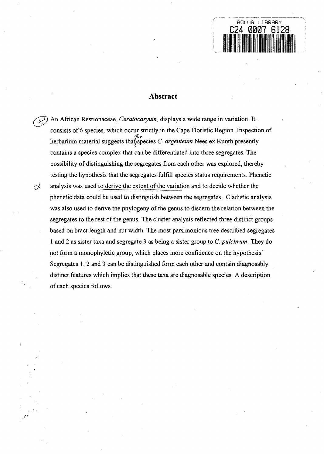

# **Abstract**

An African Restionaceae, *Ceratocaryum*, *displays a wide range in variation*. It consists of 6 species, which occur strictly in the Cape Floristic Region. Inspection of herbarium material suggests that/species C. *argenteum* Nees ex Kunth presently contains a species complex that can be differentiated into three segregates. The possibility of distinguishing the segregates from each other was explored, thereby testing the hypothesis that the segregates fulfill species status requirements. Phenetic  $\alpha$  analysis was used to derive the extent of the variation and to decide whether the phenetic data could be used to distinguish between the segregates. Cladistic analysis was also used to derive the phylogeny of the genus to discern the relation between the segregates to the rest of the genus. The cluster analysis reflected three distinct groups based on bract length and nut width. The most parsimonious tree described segregates 1 and 2 as sister taxa and segregate 3 as being a sister group to C. *pulchrum.* They do not form a monophyletic group, which places more confidence on the hypothesis. Segregates 1, 2 and 3 can be distinguished form each other and contain diagnosably distinct features which implies that these taxa are diagnosable species. A description of each species follows.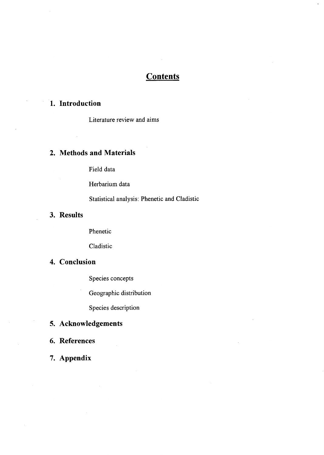# **Contents**

# **1. Introduction**

Literature review and aims

# **2. Methods and Materials**

Field data

Herbarium data

Statistical analysis: Phenetic and Cladistic

# **3. Results**

Phenetic

Cladistic

# **4. Conclusion**

Species concepts

Geographic distribution

Species description

# **5. Acknowledgements**

**6. References** 

**7. Appendix**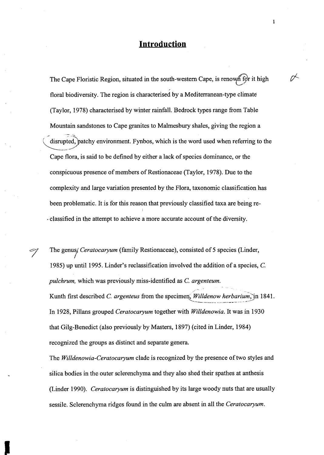# **Introduction**

The Cape Floristic Region, situated in the south-western Cape, is renow, for it high floral biodiversity. The region is characterised by a Mediterranean-type climate (Taylor, 1978) characterised by winter rainfall. Bedrock types range from Table Mountain sandstones to Cape granites to Malmesbury shales, giving the region a  $-$ : $\langle$  disrupted, patchy environment. Fynbos, which is the word used when referring to the Cape flora, is said to be defined by either a lack of species dominance, or the conspicuous presence of members of Restionaceae (Taylor, 1978). Due to the complexity and large variation presented by the Flora, taxonomic classification has been problematic. It is for this reason that previously classified taxa are being re- . classified in the attempt to achieve a more accurate account of the diversity.

The genus<sub>/</sub> Ceratocaryum (family Restionaceae), consisted of 5 species (Linder, 1985) up until 1995. Linder's reclassification involved the addition of a species,  $C$ . *pulchrum,* which was previously miss-identified as C. *argenteum.*  Kunth first described C. *argenteus* from the specimen, *Willdenow herbarium*, in 1841. '--------·---~- .,\_\_~ ~--~- -···- .. \_ \_..~/ In 1928, Pillans grouped *Ceratocaryum* together with *Willdenowia.* It was in 1930 that Gilg-Benedict (also previously by Masters, 1897) (cited in Linder, 1984) recognized the groups as distinct and separate genera.

The *Willdenowia-Ceratocaryum* clade is recognized by the presence of two styles and silica bodies in the outer sclerenchyma and they also shed their spathes at anthesis (Linder 1990). *Ceratocaryum* is distinguished by its large woody nuts that are usually sessile. Sclerenchyma ridges found in the culm are absent in all the *Ceratocaryum.* 

 $\mathbf{1}$ 

 $\overline{\mathscr{C}}$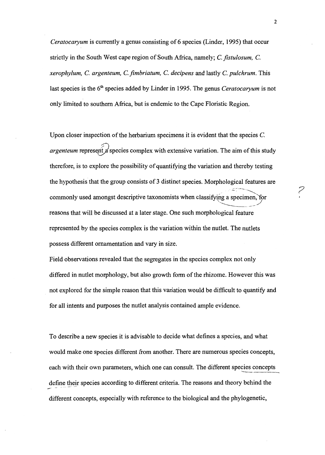*Ceratocaryum* is currently a genus consisting of 6 species (Linder, 1995) that occur strictly in the South West cape region of South Africa, namely; C. *fistulosum,* C. *xerophylum,* C. *argenteum,* C. *fimbriatum,* C. *decipens* and lastly C. *pulchrum.* This last species is the 6<sup>th</sup> species added by Linder in 1995. The genus *Ceratocaryum* is not only limited to southern Africa, but is endemic to the Cape Floristic Region.

Upon closer inspection of the herbarium specimens it is evident that the species C. *argenteum* represent a species complex with extensive variation. The aim of this study therefore, is to explore the possibility of quantifying the variation and thereby testing the hypothesis that the group consists of 3 distinct species. Morphological features are ..::.::..\_--~- commonly used amongst descriptive taxonomists when classifying a specimen, for reasons that will be discussed at a later stage. One such morphological feature represented by the species complex is the variation within the nutlet. The nutlets possess different ornamentation and vary in size.

Field observations revealed that the segregates in the species complex not only differed in nutlet morphology, but also growth form of the rhizome. However this was not explored for the simple reason that this variation would be difficult to quantify and for all intents and purposes the nutlet analysis contained ample evidence.

To describe a new species it is advisable to decide what defines a species, and what would make one species different from another. There are numerous species concepts, each with their own parameters, which one can consult. The different species concepts define their species according to different criteria. The reasons and theory behind the different concepts, especially with reference to the biological and the phylogenetic,

*?*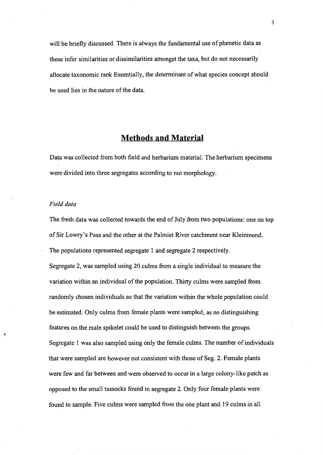will be briefly discussed. There is always the fundamental use of phenetic data as these infer similarities or dissimilarities amongst the taxa, but do not necessarily allocate taxonomic rank Essentially, the determinant of what species concept should be used lies in the nature of the data.

# **Methods and Material**

Data was collected from both field and herbarium material. The herbarium specimens were divided into three segregates according to nut morphology.

#### *Field data*

The fresh data was collected towards the end of July from two populations: one on top of Sir Lowry's Pass and the other at the Palmiet River catchment near Kleinmond. The populations represented segregate 1 and segregate 2 respectively.

Segregate 2, was sampled using 20 culms from a single individual to measure the variation within an individual of the population. Thirty culms were sampled from randomly chosen individuals so that the variation within the whole population could be estimated. Only culms from female plants were sampled, as no distinguishing features on the male spikelet could be used to distinguish between the groups. Segregate 1 was also sampled using only the female culms. The number of individuals that were sampled are however not consistent with those of Seg. 2. Female plants were few and far between and were observed to occur in a large colony-like patch as opposed to the small tussocks found in segregate 2. Only four female plants were found to sample. Five culms were sampled from the one plant and 19 culms in all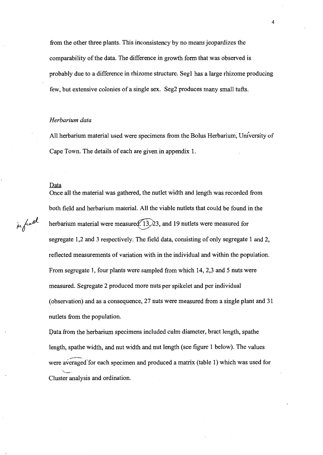from the other three plants. This inconsistency by no means jeopardizes the comparability of the data. The difference in growth form that was observed is probably due to a difference in rhizome structure. Segl has a large rhizome producing few, but extensive colonies of a single sex. Seg2 produces many small tufts.

#### *Herbarium data*

All herbarium material used were specimens from the Bolus Herbarium, University of Cape Town. The details of each are given in appendix 1.

#### Data

Once all the material was gathered, the nutlet width and length was recorded from both field and herbarium material. All the viable nutlets that could be found in the  $k$  herbarium material were measured. 13, 23, and 19 nutlets were measured for segregate 1,2 and 3 respectively. The field data, consisting of only segregate 1 and 2, reflected measurements of variation with in the individual and within the population. From segregate 1, four plants were sampled from which 14, 2,3 and 5 nuts were measured. Segregate 2 produced more nuts per spikelet and per individual (observation) and as a consequence, 27 nuts were measured from a single plant and 31 nutlets from the population.

> Data from the herbarium specimens included culm diameter, bract length, spathe length, spathe width, and nut width and nut length (see figure 1 below). The values were averaged for each specimen and produced a matrix (table 1) which was used for  $\leftharpoondown$ Cluster analysis and ordination.

4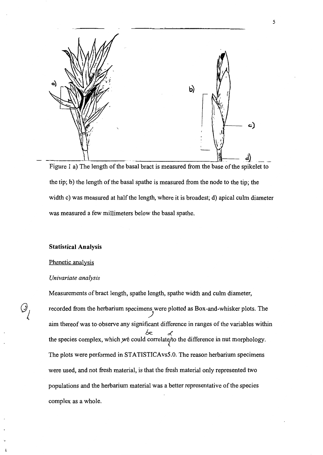

Figure 1 a) The length of the basal bract is measured from the base of the spikelet to the tip; b) the length of the basal spathe is measured from the node to the tip; the width c) was measured at half the length, where it is broadest; d) apical culm diameter was measured a few millimeters below the basal spathe.

#### **Statistical Analysis**

#### Phenetic analysis

#### *Univariate analysis*

Measurements of bract length, spathe length, spathe width and culm diameter, recorded from the herbarium specimens were plotted as Box-and-whisker plots. The aim thereof was to observe any significant difference in ranges of the variables within 6e £ the species complex, which we could correlate/to the difference in nut morphology. The plots were performed in STATISTICAvs5.0. The reason herbarium specimens were used, and not fresh material, is that the fresh material only represented two populations and the herbarium material was a better representative of the species complex as a whole.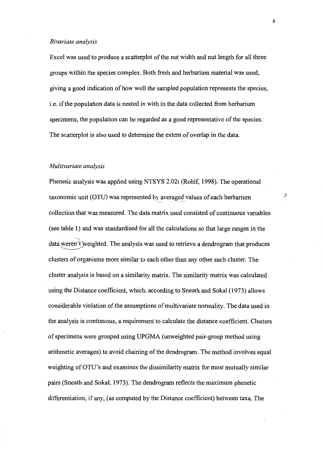#### *Bivariate analysis*

Excel was used to produce a scatterplot of the nut width and nut length for all three groups within the species complex. Both fresh and herbarium material was used, giving a good indication of how well the sampled population represents the species, i.e. if the population data is nested in with in the data collected from herbarium specimens, the population can be regarded as a good representative of the species. The scatterplot is also used to determine the extent of overlap in the data.

#### *Multivariate analysis*

Phenetic analysis was applied using NTSYS 2.02i (Rohlf, 1998). The operational taxonomic unit (OTU) was represented by averaged values of each herbarium collection that was measured. The data matrix used consisted of continuous variables (see table 1) and was standardised for all the calculations so that large ranges in the ---,\_  $data$  weren't weighted. The analysis was used to retrieve a dendrogram that produces clusters of organisms more similar to each other than any other such cluster. The cluster analysis is based on a similarity matrix. The similarity matrix was calculated using the Distance coefficient, which, according to Sneath and Sokal (1973) allows considerable violation of the assumptions of multivariate normality. The data used in the analysis is continuous, a requirement to calculate the distance coefficient. Clusters of specimens were grouped using UPGMA (unweighted pair-group method using arithmetic averages) to avoid chaining of the dendrogram. The method involves equal weighting of OTU's and examines the dissimilarity matrix for most mutually similar pairs (Sneath and Sokal, 1973). The dendrogram reflects the maximum phenetic differentiation, if any, (as computed by the Distance coefficient) between taxa. The

 $\overline{\phantom{a}}$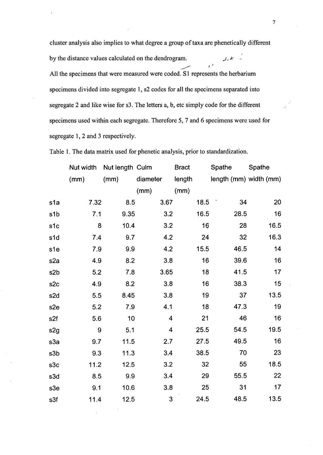cluster analysis also implies to what degree a group of taxa are phenetically different by the distance values calculated on the dendrogram.  $\frac{1}{2}$  , , , , , , , , , , , , All the specimens that were measured were coded. S1 represents the herbarium specimens divided into segregate 1, s2 codes for all the specimens separated into segregate 2 and like wise for s3. The letters a, b, etc simply code for the different specimens used within each segregate. Therefore 5, 7 and 6 specimens were used for segregate 1, 2 and 3 respectively.

Table 1. The data matrix used for phenetic analysis, prior to standardization.

|                  | Nut width        | Nut length Culm |                         | <b>Bract</b> | Spathe                 | Spathe |
|------------------|------------------|-----------------|-------------------------|--------------|------------------------|--------|
|                  | (mm)             | (mm)            | diameter                | length       | length (mm) width (mm) |        |
|                  |                  |                 | (mm)                    | (mm)         |                        |        |
| s1a              | 7.32             | 8.5             | 3.67                    | 18.5         | 34                     | 20     |
| s <sub>1</sub> b | 7.1              | 9.35            | 3.2                     | 16.5         | 28.5                   | 16     |
| s1c              | 8                | 10.4            | 3.2                     | 16           | 28                     | 16.5   |
| s1d              | 7.4              | 9.7             | 4.2                     | 24           | 32                     | 16.3   |
| s1e              | 7.9              | 9.9             | 4.2                     | 15.5         | 46.5                   | 14     |
| s <sub>2</sub> a | 4.9              | 8.2             | 3.8                     | 16           | 39.6                   | 16     |
| s2b              | 5.2              | 7.8             | 3.65                    | 18           | 41.5                   | 17     |
| s <sub>2c</sub>  | 4.9              | 8.2             | 3.8                     | 16           | 38.3                   | 15     |
| s <sub>2d</sub>  | 5.5              | 8.45            | 3.8                     | 19           | 37                     | 13.5   |
| s <sub>2e</sub>  | 5.2              | 7.9             | 4.1                     | 18           | 47.3                   | 19     |
| s2f              | 5.6              | 10              | $\overline{\mathbf{4}}$ | 21           | 46                     | 16     |
| s <sub>2g</sub>  | $\boldsymbol{9}$ | 5.1             | 4                       | 25.5         | 54.5                   | 19.5   |
| s3a              | 9.7              | 11.5            | 2.7                     | 27.5         | 49.5                   | 16     |
| s3b              | 9.3              | 11.3            | 3.4                     | 38.5         | 70                     | 23     |
| s3c              | 11.2             | 12.5            | 3.2                     | 32           | 55                     | 18.5   |
| s3d              | 8.5              | 9.9             | 3.4                     | 29           | 55.5                   | 22     |
| s3e              | 9.1              | 10.6            | 3.8                     | 25           | 31                     | 17     |
| s3f              | 11.4             | 12.5            | 3                       | 24.5         | 48.5                   | 13.5   |

7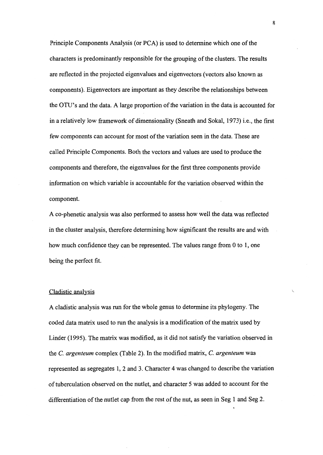Principle Components Analysis (or PCA) is used to determine which one of the characters is predominantly responsible for the grouping of the clusters. The results are reflected in the projected eigenvalues and eigenvectors (vectors also known as components). Eigenvectors are important as they describe the relationships between the OTU's and the data. A large proportion of the variation in the data is accounted for in a relatively low framework of dimensionality (Sneath and Sokal, 1973) i.e., the first few components can account for most of the variation seen in the data. These are called Principle Components. Both the vectors and values are used to produce the components and therefore, the eigenvalues for the first three components provide information on which variable is accountable for the variation observed within the component.

A co-phenetic analysis was also performed to assess how well the data was reflected in the cluster analysis, therefore determining how significant the results are and with how much confidence they can be represented. The values range from 0 to 1, one being the perfect fit.

#### Cladistic analysis

A cladistic analysis was run for the whole genus to determine its phylogeny. The coded data matrix used to run the analysis is a modification of the matrix used by Linder (1995). The matrix was modified, as it did not satisfy the variation observed in the C. *argenteum* complex (Table 2). In the modified matrix, C. *argenteum* was represented as segregates 1, 2 and 3. Character 4 was changed to describe the variation of tuberculation observed on the nutlet, and character 5 was added to account for the differentiation of the nutlet cap from the rest of the nut, as seen in Seg 1 and Seg 2.

8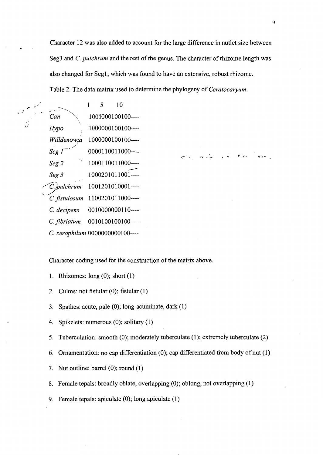Character 12 was also added to account for the large difference in nutlet size between Seg3 and C. *pulchrum* and the rest of the genus. The character of rhizome length was also changed for Seg1, which was found to have an extensive, robust rhizome. Table 2. The data matrix used to determine the phylogeny of *Ceratocaryum.* 

 $\sqrt{5}$   $\sqrt{7}$   $\sqrt{2}$   $\sqrt{1}$   $\sqrt{5}$  10 *Can* 1000000100100----*Hypo* 1000000100100----I *Willdenowja* **1** 0000001 00100---- \_/ *Seg 1* 0000110011000----*Seg 2* 1000110011000----*Seg 2* 1000110011000----<br> *Seg 3* 1000201011001----<br> *C.* pulchrum 1001201010001----C. *fistulosum* 1100201011000---- C. *decipens* 0010000000110---- C. *fibriatum* 0010100100100---- C. *xerophilum* 0000000000100----

Character coding used for the construction of the matrix above.

- 1. Rhizomes: long (0); short (1)
- 2. Culms: not fistular (0); fistular **(1)**
- 3. Spathes: acute, pale (0); long-acuminate, dark (1)
- 4. Spikelets: numerous (0); solitary (1)
- 5. Tuberculation: smooth (0); moderately tuberculate (1); extremely tuberculate (2)
- 6. Ornamentation: no cap differentiation (0); cap differentiated from body of nut (1)
- 7. Nut outline: barrel (0); round (1)
- 8. Female tepals: broadly oblate, overlapping (0); oblong, not overlapping (1)
- 9. Female tepals: apiculate (0); long apiculate (1)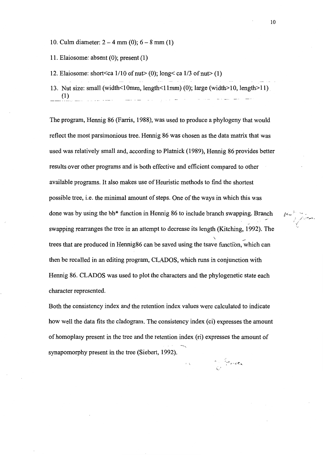10. Culm diameter:  $2 - 4$  mm (0);  $6 - 8$  mm (1)

11. Elaiosome: absent (0); present (1)

12. Elaiosome: short<ca  $1/10$  of nut> (0); long<ca  $1/3$  of nut> (1)

13. Nut size: small (width  $\leq 10$ mm, length  $\leq 11$ mm) (0); large (width  $\geq 10$ , length  $\geq 11$ ) (1)

The program, Hennig 86 (Farris, 1988), was used to produce a phylogeny that would reflect the most parsimonious tree. Hennig 86 was chosen as the data matrix that was used was relatively small and, according to Platnick (1989), Hennig 86 provides better results over other programs and is both effective and efficient compared to other available programs. It also makes use of Heuristic methods to find the shortest possible tree, i.e. the minimal amount of steps. One of the ways in which this was done was by using the bb\* function in Hennig 86 to include branch swapping. Branch swapping rearranges the tree in an attempt to decrease its length (Kitching, 1992). The  $\qquad \qquad$ trees that are produced in Hennig86 can be saved using the tsave function, which can then be recalled in an editing program, CLADOS, which runs in conjunction with Hennig 86. CLADOS was used to plot the characters and the phylogenetic state each character represented.

Both the consistency index and the retention index values were calculated to indicate how well the data fits the cladogram. The consistency index (ci) expresses the amount of homoplasy present in the tree and the retention index (ri) expresses the amount of synapomorphy present in the tree (Siebert, 1992).

''

n free

10

 $\mu$ <sup>-</sup> ...

/

 $\mathscr{N}$  .  $\mathscr{N}$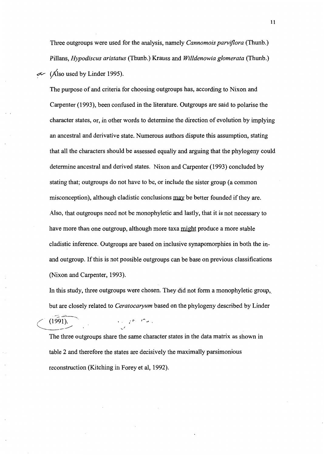Three outgroups were used for the analysis, namely *Cannomois parviflora* (Thunb.) Pillans, *Hypodiscus aristatus* (Thunb.) Krauss and *Willdenowia glomerata* (Thunb.) ~ *y{Iso* used by Linder 1995).

The purpose of and criteria for choosing outgroups has, according to Nixon and Carpenter (1993), been confused in the literature. Outgroups are said to polarise the character states, or, in other words to determine the direction of evolution by implying an ancestral and derivative state. Numerous authors dispute this assumption, stating that all the characters should be assessed equally and arguing that the phylogeny could determine ancestral and derived states. Nixon and Carpenter (1993) concluded by stating that; outgroups do not have to be, or include the sister group (a common misconception), although cladistic conclusions may be better founded if they are. Also, that outgroups need not be monophyletic and lastly, that it is not necessary to have more than one outgroup, although more taxa might produce a more stable cladistic inference. Outgroups are based on inclusive synapomorphies in both the inand outgroup. If this is not possible outgroups can be base on previous classifications (Nixon and Carpenter, 1993).

In this study, three outgroups were chosen. They did not form a monophyletic group, but are closely related to *Ceratocaryum* based on the phylogeny described by Linder

The three outgroups share the same character states in the data matrix as shown in table 2 and therefore the states are decisively the maximally parsimonious reconstruction (Kitching in Forey et al, 1992).

 $\mathcal{F}_{\mathcal{F}}=\mathcal{F}^{\mathsf{p}_{\mathcal{F}}}\left(\mathcal{F}_{\mathcal{F}}\right)$ 

 $(1991).$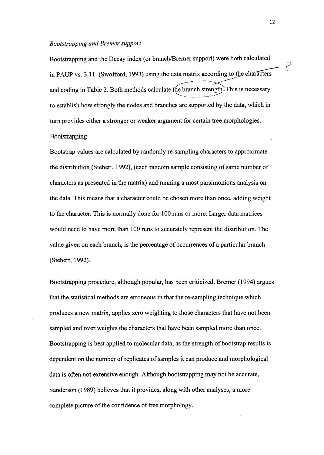#### *Bootstrapping and Bremer support*

Bootstrapping and the Decay index (or branch/Bremer support) were both calculated in PAUP vs.  $3.11$  (Swofford, 1993) using the data matrix according to the characters and coding in Table 2. Both methods calculate the branch strength. This is necessary "---------~ to establish how strongly the nodes and branches are supported by the data, which in turn provides either a stronger or weaker argument for certain tree morphologies. **Bootstrapping** 

Bootstrap values are calculated by randomly re-sampling characters to approximate the distribution (Siebert, 1992), (each random sample consisting of same number of characters as presented in the matrix) and running a most parsimonious analysis on the data. This means that a character could be chosen more than once, adding weight to the character. This is normally done for 100 runs or more. Larger data matrices would need to have more than 100 runs to accurately represent the distribution. The value given on each branch, is the percentage of occurrences of a particular branch (Siebert, 1992).

Bootstrapping procedure, although popular, has been criticized. Bremer (1994) argues that the statistical methods are erroneous in that the re-sampling technique which produces a new matrix, applies zero weighting to those characters that have not been sampled and over weights the characters that have been sampled more than once. Bootstrapping is best applied to molecular data, as the strength of bootstrap results is dependent on the number of replicates of samples it can produce and morphological data is often not extensive enough. Although bootstrapping may not be accurate, Sanderson (1989) believes that it provides, along with other analyses, a more complete picture of the confidence of tree morphology.

12

*?*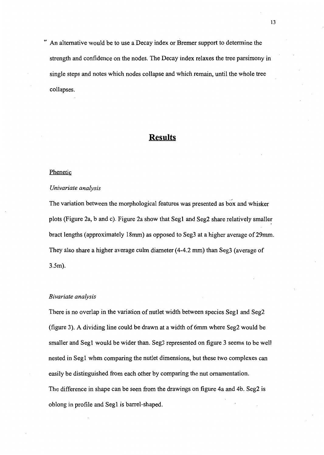An alternative would be to use a Decay index or Bremer support to determine the strength and confidence on the nodes. The Decay index relaxes the tree parsimony in single steps and notes which nodes collapse and which remain, until the whole tree collapses.

# **Results**

#### Phenetic

#### *Univariate analysis*

The variation between the morphological features was presented as box and whisker plots (Figure 2a, band c). Figure 2a show that Segl and Seg2 share relatively smaller bract lengths (approximately 18mm) as opposed to Seg3 at a higher average of29mm. They also share a higher average culm diameter (4-4.2 mm) than Seg3 (average of 3.5m).

#### *Bivariate analysis*

There is no overlap in the variation of nutlet width between species Segl and Seg2 (figure 3). A dividing line could be drawn at a width of 6mm where Seg2 would be smaller and Segl would be wider than. Seg3 represented on figure 3 seems to be well nested in Segl when comparing the nutlet dimensions, but these two complexes can easily be distinguished from each other by comparing the nut ornamentation. The difference in shape can be seen from the drawings on figure 4a and 4b. Seg2 is oblong in profile and Segl is barrel-shaped.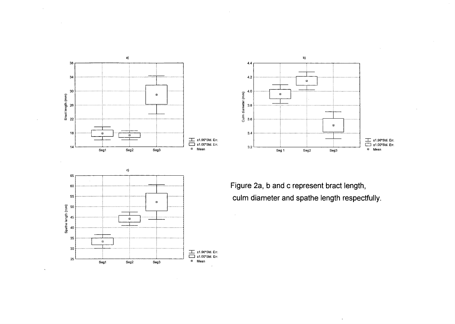



Figure 2a, b and c represent bract length, **culm diameter and spathe length respectfully.** 

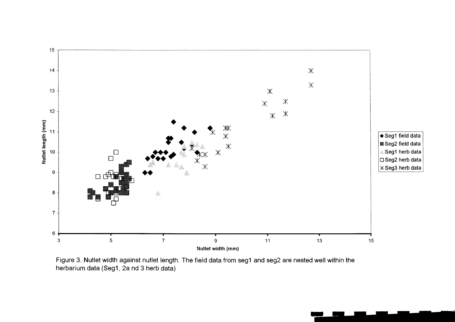

Figure 3. Nutlet width against nutlet length. The field data from seg1 and seg2 are nested well within the herbarium data (Seg1, 2a nd 3 herb data)

 $\mathcal{A}^{\mathcal{A}}$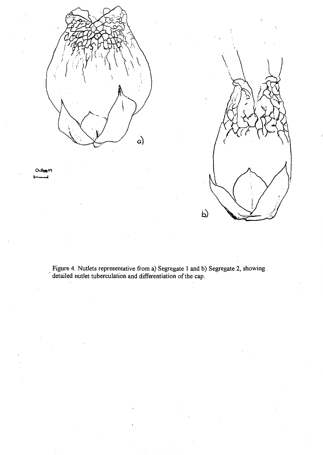



Figure 4. Nutlets representative from a) Segregate 1 and b) Segregate 2, showing detailed nutlet tuberculation and differentiation of the cap.

0.Sm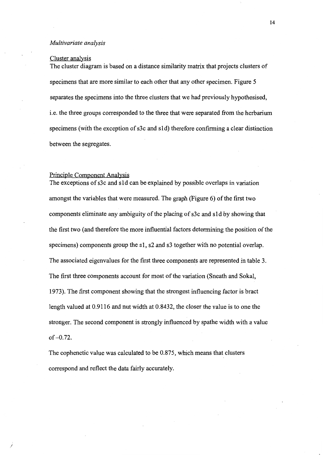#### *Multivariate analysis*

#### Cluster analysis

The cluster diagram is based on a distance similarity matrix that projects clusters of specimens that are more similar to each other that any other specimen. Figure 5 separates the specimens into the three clusters that we had previously hypothesised, i.e. the three groups corresponded to the three that were separated from the herbarium specimens (with the exception of s3c and s1d) therefore confirming a clear distinction between the segregates.

#### Principle Component Analysis

/

The exceptions of s3c and s1d can be explained by possible overlaps in variation amongst the variables that were measured. The graph (Figure 6) of the first two components eliminate any ambiguity of the placing of s3c and s 1 d by showing that the first two (and therefore the more influential factors determining the position of the specimens) components group the s1, s2 and s3 together with no potential overlap. The associated eigenvalues for the first three components are represented in table 3. The first three components account for most of the variation (Sneath and Sokal, 1973). The first component showing that the strongest influencing factor is bract length valued at 0.9116 and nut width at 0.8432, the closer the value is to one the stronger. The second component is strongly influenced by spathe width with a value  $of -0.72.$ 

The cophenetic value was calculated to be 0.875, which means that clusters correspond and reflect the data fairly accurately.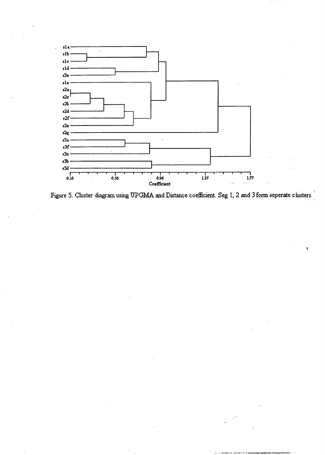

Figure 5. Cluster diagram using UPGMA and Distance coefficient. Seg 1, 2 and 3 form seperate clusters.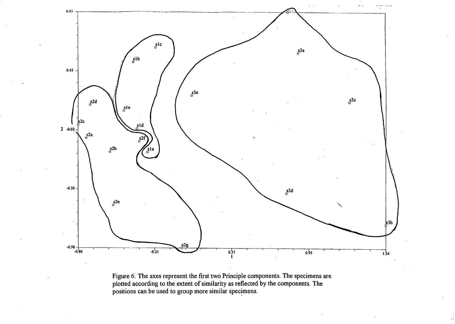

Figure 6. The axes represent the first two Principle components. The specimens are plotted according to the extent of similarity as reflected by the components. The positions can be used to group more similar specimens.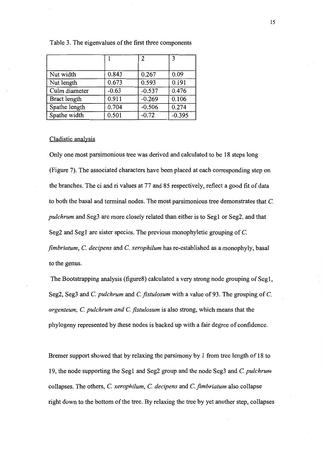|               |         | 2        | 3        |
|---------------|---------|----------|----------|
|               |         |          |          |
| Nut width     | 0.843   | 0.267    | 0.09     |
| Nut length    | 0.673   | 0.593    | 0.191    |
| Culm diameter | $-0.63$ | $-0.537$ | 0.476    |
| Bract length  | 0.911   | $-0.269$ | 0.106    |
| Spathe length | 0.704   | $-0.506$ | 0.274    |
| Spathe width  | 0.501   | $-0.72$  | $-0.395$ |

#### Table 3. The eigenvalues of the first three components

#### Cladistic analysis

Only one most parsimonious tree was derived and calculated to be 18 steps long (Figure 7). The associated characters have been placed at each corresponding step on the branches. The ci and ri values at 77 and 85 respectively, reflect a good fit of data to both the basal and terminal nodes. The most parsimonious tree demonstrates that C. *pulchrum* and Seg3 are more closely related than either is to Seg1 or Seg2, and that Seg2 and Seg1 are sister species. The previous monophyletic grouping of C. *fimbriatum,* C. *decipens* and C. *xerophilum* has re-established as a monophyly, basal to the genus.

The Bootstrapping analysis (figureS) calculated a very strong node grouping of Seg1, Seg2, Seg3 and C. *pulchrum* and C. *fistulosum* with a value of 93. The grouping of C. *argenteum,* C. *pulchrum and* C. *fistulosum* is also strong, which means that the phylogeny represented by these nodes is backed up with a fair degree of confidence.

Bremer support showed that by relaxing the parsimony by 1 from tree length of 18 to 19, the node supporting the Seg1 and Seg2 group and the node Seg3 and C. *pulchrum*  collapses. The others, C. *xerophilum,* C. *decipens* and C. *fimbria tum* also collapse right down to the bottom of the tree. By relaxing the tree by yet another step, collapses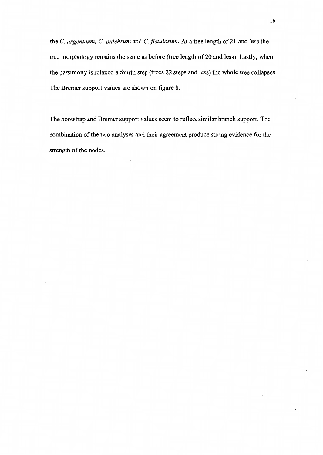the C. *argenteum,* C. *pulchrum* and C. *fistulosum.* At a tree length of 21 and less the tree morphology remains the same as before (tree length of20 and less). Lastly, when the parsimony is relaxed a fourth step (trees 22 steps and less) the whole tree collapses The Bremer support values are shown on figure 8.

The bootstrap and Bremer support values seem to reflect similar branch support. The combination of the two analyses and their agreement produce strong evidence for the strength of the nodes.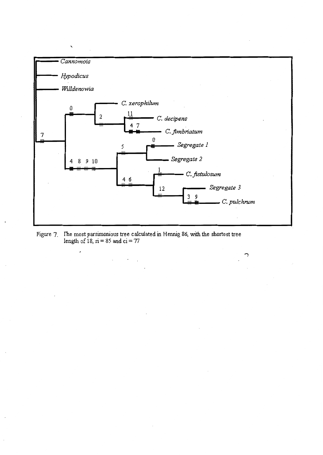

C

Figure 7. The most parsimonious tree calculated in Hennig 86, with the shortest tree length of 18,  $ri = 85$  and  $ci = 77$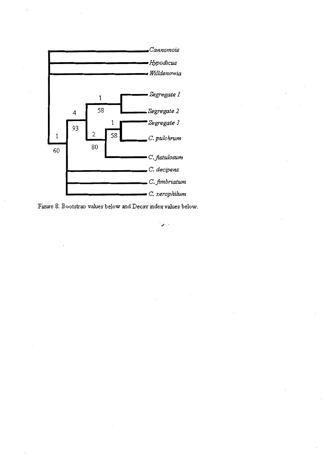



 $\mathcal{L}$ .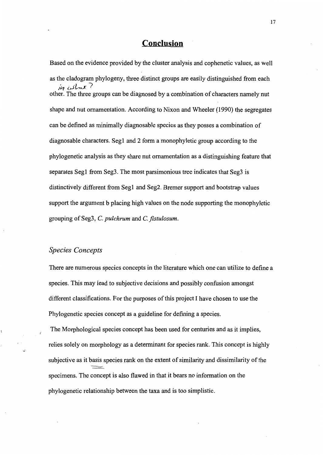## **Conclusion**

Based on the evidence provided by the cluster analysis and cophenetic values, as well as the cladogram phylogeny, three distinct groups are easily distinguished from each  $\dot{y}$   $\omega$ *l*  $\alpha$   $\prime$ other. The three groups can be diagnosed by a combination of characters namely nut shape and nut ornamentation. According to Nixon and Wheeler (1990) the segregates can be defined as minimally diagnosable species as they posses a combination of diagnosable characters. Segl and 2 form a monophyletic group according to the phylogenetic analysis as they share nut ornamentation as a distinguishing feature that separates Segl from Seg3. The most parsimonious tree indicates that Seg3 is distinctively different from Segl and Seg2. Bremer support and bootstrap values support the argument b placing high values on the node supporting the monophyletic grouping of Seg3, C. *pulchrum* and C. *jistulosum.* 

#### *Species Concepts*

There are numerous species concepts in the literature which one can utilize to define a species. This may lead to subjective decisions and possibly confusion amongst different classifications. For the purposes of this project I have chosen to use the Phylogenetic species concept as a guideline for defining a species.

The Morphological species concept has been used for centuries and as it implies, relies solely on morphology as a determinant for species rank. This concept is highly subjective as it basis species rank on the extent of similarity and dissimilarity of the specimens. The concept is also flawed in that it bears no information on the phylogenetic relationship between the taxa and is too simplistic.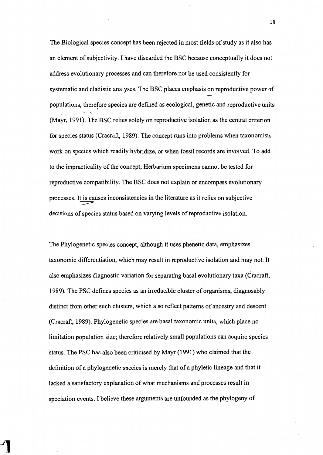The Biological species concept has been rejected in most fields of study as it also has an element of subjectivity. I have discarded the BSC because conceptually it does not address evolutionary processes and can therefore not be used consistently for systematic and cladistic analyses. The BSC places emphasis on reproductive power of populations, therefore species are defined as ecological, genetic and reproductive units \ -\..\_ . (Mayr, 1991). The BSC relies solely on reproductive isolation as the central criterion for species status (Cracraft, 1989). The concept runs into problems when taxonomists work on species which readily hybridize, or when fossil records are involved. To add to the impracticality of the concept, Herbarium specimens cannot be tested for reproductive compatibility. The BSC does not explain or encompass evolutionary processes. It is causes inconsistencies in the literature as it relies on subjective ~ decisions of species status based on varying levels of reproductive isolation.

The Phylogenetic species concept, although it uses phenetic data, emphasizes taxonomic differentiation, which may result in reproductive isolation and may not. It also emphasizes diagnostic variation for separating basal evolutionary taxa (Cracraft, 1989). The PSC defines species as an irreducible cluster of organisms, diagnosably distinct from other such clusters, which also reflect patterns of ancestry and descent (Cracraft, 1989). Phylogenetic species are basal taxonomic units, which place no limitation population size; therefore relatively small populations can acquire species status. The PSC has also been criticised by Mayr (1991) who claimed that the definition of a phylogenetic species is merely that of a phyletic lineage and that it lacked a satisfactory explanation of what mechanisms and processes result in speciation events. I believe these arguments are unfounded as the phylogeny of

18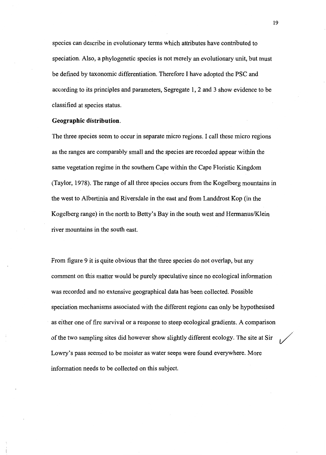species can describe in evolutionary terms which attributes have contributed to speciation. Also, a phylogenetic species is not merely an evolutionary unit, but must be defined by taxonomic differentiation. Therefore I have adopted the PSC and according to its principles and parameters, Segregate 1, 2 and 3 show evidence to be classified at species status.

#### **Geographic distribution.**

The three species seem to occur in separate micro regions. I call these micro regions as the ranges are comparably small and the species are recorded appear within the same vegetation regime in the southern Cape within the Cape Floristic Kingdom (Taylor, 1978). The range of all three species occurs from the Kogelberg mountains in the west to Albertinia and Riversdale in the east and from Landdrost Kop (in the Kogelberg range) in the north to Betty's Bay in the south west and Hermanus/Klein river mountains in the south east.

From figure 9 it is quite obvious that the three species do not overlap, but any comment on this matter would be purely speculative since no ecological information was recorded and no extensive geographical data has been collected. Possible speciation mechanisms associated with the different regions can only be hypothesised as either one of fire survival or a response to steep ecological gradients. A comparison of the two sampling sites did however show slightly different ecology. The site at Sir ~· Lowry's pass seemed to be moister as water seeps were found everywhere. More information needs to be collected on this subject.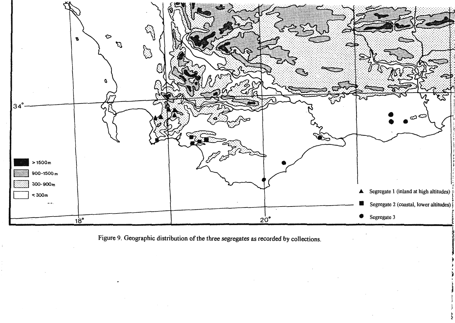

Figure 9. Geographic distribution of the three segregates as recorded by collections.

 $\sim$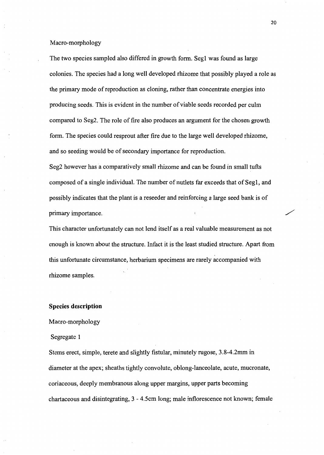#### Macro-morphology

The two species sampled also differed in growth form. Segl was found as large colonies. The species had a long well developed rhizome that possibly played a role as the primary mode of reproduction as cloning, rather than concentrate energies into producing seeds. This is evident in the number of viable seeds recorded per culm compared to Seg2. The role of fire also produces an argument for the chosen growth form. The species could resprout after fire due to the large well developed rhizome, and so seeding would be of secondary importance for reproduction.

Seg2 however has a comparatively small rhizome and can be found in small tufts composed of a single individual. The number of nutlets far exceeds that of Seg1, and possibly indicates that the plant is a reseeder and reinforcing a large seed bank is of primary importance.

This character unfortunately can not lend itself as a real valuable measurement as not enough is known about the structure. Infact it is the least studied structure. Apart from this unfortunate circumstance, herbarium specimens are rarely accompanied with rhizome samples.

#### **Species description**

#### Macro-morphology

#### Segregate 1

Stems erect, simple, terete and slightly fistular, minutely rugose, 3.8-4.2mm in diameter at the apex; sheaths tightly convolute, oblong-lanceolate, acute, mucronate, coriaceous, deeply membranous along upper margins, upper parts becoming chartaceous and disintegrating, 3- 4.5cm long; male inflorescence not known; female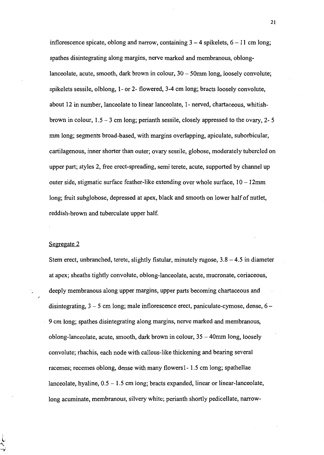inflorescence spicate, oblong and narrow, containing  $3-4$  spikelets,  $6-11$  cm long; spathes disintegrating along margins, nerve marked and membranous, oblonglanceolate, acute, smooth, dark brown in colour,  $30 - 50$ mm long, loosely convolute; spikelets sessile, olblong, 1- or 2- flowered, 3-4 em long; bracts loosely convolute, about 12 in number, lanceolate to linear lanceolate, 1- nerved, chartaceous, whitishbrown in colour, 1.5-3 em long; perianth sessile, closely appressed to the ovary, 2- 5 mm long; segments broad-based, with margins overlapping, apiculate, suborbicular, cartilagenous, inner shorter than outer; ovary sessile, globose, moderately tubercled on upper part; styles 2, free erect-spreading, semi terete, acute, supported by channel up outer side, stigmatic surface feather-like extending over whole surface,  $10 - 12$ mm long; fruit subglobose, depressed at apex, black and smooth on lower half of nutlet, reddish-brown and tuberculate upper half.

#### Segregate 2

Stem erect, unbranched, terete, slightly fistular, minutely rugose,  $3.8-4.5$  in diameter at apex; sheaths tightly convolute, oblong-lanceolate, acute, mucronate, coriaceous, deeply membranous along upper margins, upper parts becoming chartaceous and disintegrating,  $3 - 5$  cm long; male inflorescence erect, paniculate-cymose, dense,  $6 -$ 9 em long; spathes disintegrating along margins, nerve marked and membranous, oblong-lanceolate, acute, smooth, dark brown in colour, 35- 40mm long, loosely convolute; rhachis, each node with callous-like thickening and bearing several racemes; recemes oblong, dense with many flowers 1- 1.5 em long; spathellae lanceolate, hyaline,  $0.5 - 1.5$  cm long; bracts expanded, linear or linear-lanceolate, long acuminate, membranous, silvery white; perianth shortly pedicellate, narrow-

21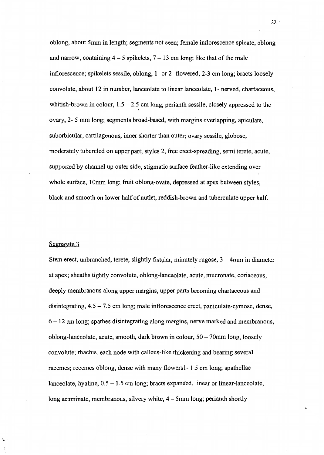oblong, about 5mm in length; segments not seen; female inflorescence spicate, oblong and narrow, containing  $4-5$  spikelets,  $7-13$  cm long; like that of the male inflorescence; spikelets sessile, oblong, 1- or 2- flowered, 2-3 em long; bracts loosely convolute, about 12 in number, lanceolate to linear lanceolate, 1- nerved, chartaceous, whitish-brown in colour,  $1.5 - 2.5$  cm long; perianth sessile, closely appressed to the ovary, 2- 5 mm long; segments broad-based, with margins overlapping, apiculate, suborbicular, cartilagenous, inner shorter than outer; ovary sessile, globose, moderately tubercled on upper part; styles 2, free erect-spreading, semi terete, acute, supported by channel up outer side, stigmatic surface feather-like extending over whole surface, 10mm long; fruit oblong-ovate, depressed at apex between styles, black and smooth on lower half of nutlet, reddish-brown and tuberculate upper half.

#### Segregate 3

Stem erect, unbranched, terete, slightly fistular, minutely rugose,  $3 - 4$ mm in diameter at apex; sheaths tightly convolute, oblong-lanceolate, acute, mucronate, coriaceous, deeply membranous along upper margins, upper parts becoming chartaceous and disintegrating,  $4.5 - 7.5$  cm long; male inflorescence erect, paniculate-cymose, dense, 6 - 12 em long; spathes disintegrating along margins, nerve marked and membranous, oblong-lanceolate, acute, smooth, dark brown in colour,  $50 - 70$ mm long, loosely convolute; rhachis, each node with callous-like thickening and bearing several racemes; recemes oblong, dense with many flowers1- 1.5 em long; spathellae lanceolate, hyaline,  $0.5 - 1.5$  cm long; bracts expanded, linear or linear-lanceolate, long acuminate, membranous, silvery white, 4 - 5mm long; perianth shortly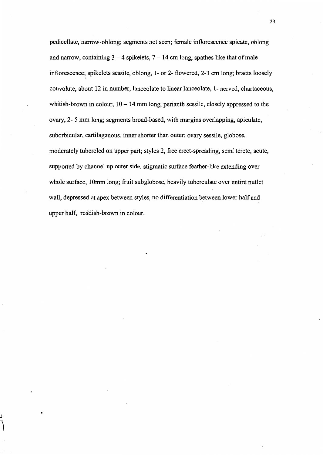pedicellate, narrow-oblong; segments not seen; female inflorescence spicate, oblong and narrow, containing  $3 - 4$  spike lets,  $7 - 14$  cm long; spathes like that of male inflorescence; spikelets sessile, oblong, 1- or 2- flowered, 2-3 em long; bracts loosely convolute, about 12 in number, lanceolate to linear lanceolate, 1- nerved, chartaceous, whitish-brown in colour,  $10 - 14$  mm long; perianth sessile, closely appressed to the ovary, 2- 5 mm long; segments broad-based, with margins overlapping, apiculate, suborbicular, cartilagenous, inner shorter than outer; ovary sessile, globose, moderately tubercled on upper part; styles 2, free erect-spreading, semi terete, acute, supported by channel up outer side, stigmatic surface feather-like extending over whole surface, 10mm long; fruit subglobose, heavily tuberculate over entire nutlet wall, depressed at apex between styles, no differentiation between lower half and upper half, reddish-brown in colour.

J;.

 $\bigcap$ 

*25*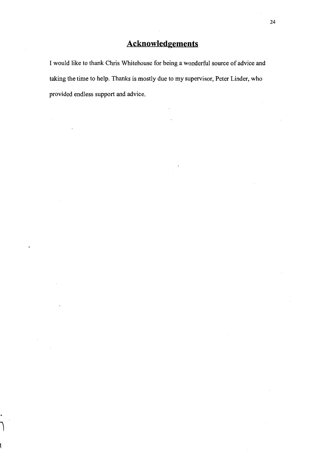I would like to thank Chris Whitehouse for being a wonderful source of advice and taking the time to help. Thanks is mostly due to my supervisor, Peter Linder, who provided endless support and advice.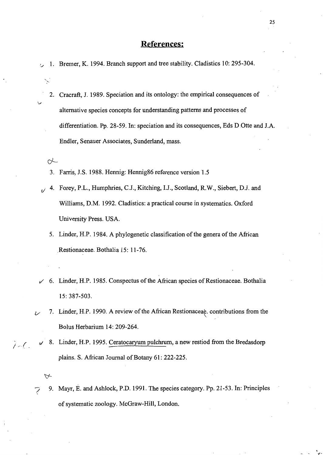### **References:**

1. Bremer, K. 1994. Branch support and tree stability. Cladistics 10: 295-304.

2. Cracraft, J. 1989. Speciation and its ontology: the empirical consequences of alternative species concepts for understanding patterns and processes of differentiation. Pp. 28-59. In: speciation and its consequences, Eds D Otte and J.A. Endler, Senauer Associates, Sunderland, mass.

 $\alpha$ 

..... >

*v* 

- 3. Farris, J.S. 1988. Hennig: Hennig86 reference version 1.5
- $t$  4. Forey, P.L., Humphries, C.J., Kitching, I.J., Scotland, R.W., Siebert, D.J. and Williams, D.M. 1992. Cladistics: a practical course in systematics. Oxford University Press. USA.
	- 5. Linder, H.P. 1984. A phylogenetic classification of the genera of the African .Restionaceae. Bothalia 15: 11-76.
- $\checkmark$  6. Linder, H.P. 1985. Conspectus of the African species of Restionaceae. Bothalia 15: 387-503.
- 7. Linder, H.P. 1990. A review of the African Restionaceae. contributions from the Bolus Herbarium 14: 209-264.
- <sup>2</sup> <sup>*v*</sup> 8. Linder, H.P. 1995. Ceratocaryum pulchrum, a new restiod from the Bredasdorp plains. S. African Journal of Botany 61: 222-225.

-; 9. Mayr, E. and Ashlock, P.D. 1991. The species category. Pp. 21-53. In: Principles of systematic zoology. McGraw-Hill, London.

 $\forall$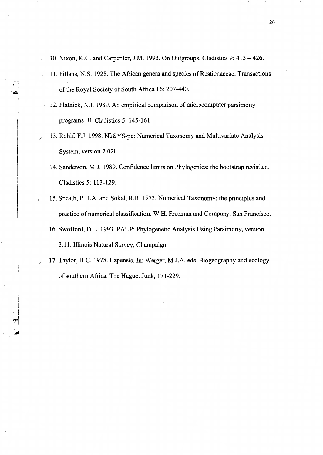- 10. Nixon, K.C. and Carpenter, J.M. 1993. On Outgroups. Cladistics 9: 413-426. U.
	- 11. Pillans, N.S. 1928. The African genera and species of Restionaceae. Transactions of the Royal Society of South Africa 16: 207-440.
	- 12. Platnick, N.I. 1989. An empirical comparison of microcomputer parsimony programs, II. Cladistics 5: 145-161.
- 13. Rohlf, F.J. 1998. NTSYS-pc: Numerical Taxonomy and Multivariate Analysis System, version 2.02i.
	- 14. Sanderson, M.J. 1989. Confidence limits on Phylogenies: the bootstrap revisited. Cladistics 5: 113-129.
- 15. Sneath, P.H.A. and Sokal, R.R. 1973. Numerical Taxonomy: the principles and practice of numerical classification. W.H. Freeman and Company, San Francisco.
	- 16. Swofford, D.L. 1993. PAUP: Phylogenetic Analysis Using Parsimony, version 3.11. Illinois Natural Survey, Champaign.
- 17. Taylor, H.C. 1978. Capensis. In: Werger, M.J.A. eds. Biogeography and ecology of southern Africa. The Hague: Junk, 171-229.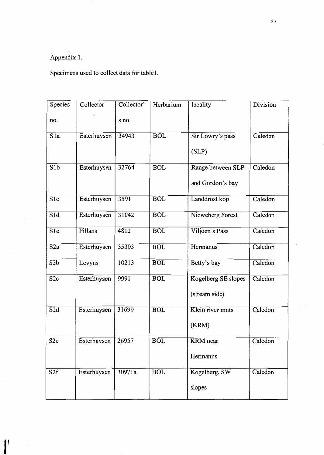# Appendix 1.

Specimens used to collect data for table 1.

| Species          | Collector   | Collector' | Herbarium  | locality            | Division |
|------------------|-------------|------------|------------|---------------------|----------|
| no.              |             | s no.      |            |                     |          |
| S <sub>1</sub> a | Esterhuysen | 34943      | <b>BOL</b> | Sir Lowry's pass    | Caledon  |
|                  |             |            |            | (SLP)               |          |
| S1b              | Esterhuysen | 32764      | <b>BOL</b> | Range between SLP   | Caledon  |
|                  |             |            |            | and Gordon's bay    |          |
| S <sub>1c</sub>  | Esterhuysen | 3591       | <b>BOL</b> | Landdrost kop       | Caledon  |
| S1d              | Esterhuysen | 31042      | <b>BOL</b> | Nieweberg Forest    | Caledon  |
| S1e              | Pillans     | 4812       | <b>BOL</b> | Viljoen's Pass      | Caledon  |
| S <sub>2</sub> a | Esterhuysen | 35303      | <b>BOL</b> | Hermanus            | Caledon  |
| S <sub>2</sub> b | Levyns      | 10213      | <b>BOL</b> | Betty's bay         | Caledon  |
| S2c              | Esterhuysen | 9991       | <b>BOL</b> | Kogelberg SE slopes | Caledon  |
|                  |             |            |            | (stream side)       |          |
| S2d              | Esterhuysen | 31699      | <b>BOL</b> | Klein river mnts    | Caledon  |
|                  |             |            |            | (KRM)               |          |
| S <sub>2e</sub>  | Esterhuysen | 26957      | <b>BOL</b> | <b>KRM</b> near     | Caledon  |
|                  |             |            |            | Hermanus            |          |
| S2f              | Esterhuysen | 30971a     | <b>BOL</b> | Kogelberg, SW       | Caledon  |
|                  |             |            |            | slopes              |          |
|                  |             |            |            |                     |          |